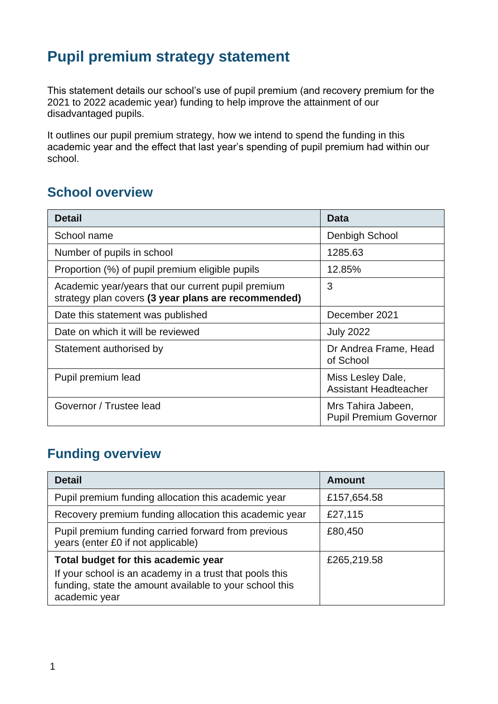# **Pupil premium strategy statement**

This statement details our school's use of pupil premium (and recovery premium for the 2021 to 2022 academic year) funding to help improve the attainment of our disadvantaged pupils.

It outlines our pupil premium strategy, how we intend to spend the funding in this academic year and the effect that last year's spending of pupil premium had within our school.

#### **School overview**

| <b>Detail</b>                                                                                             | Data                                                |
|-----------------------------------------------------------------------------------------------------------|-----------------------------------------------------|
| School name                                                                                               | <b>Denbigh School</b>                               |
| Number of pupils in school                                                                                | 1285.63                                             |
| Proportion (%) of pupil premium eligible pupils                                                           | 12.85%                                              |
| Academic year/years that our current pupil premium<br>strategy plan covers (3 year plans are recommended) | 3                                                   |
| Date this statement was published                                                                         | December 2021                                       |
| Date on which it will be reviewed                                                                         | <b>July 2022</b>                                    |
| Statement authorised by                                                                                   | Dr Andrea Frame, Head<br>of School                  |
| Pupil premium lead                                                                                        | Miss Lesley Dale,<br><b>Assistant Headteacher</b>   |
| Governor / Trustee lead                                                                                   | Mrs Tahira Jabeen,<br><b>Pupil Premium Governor</b> |

## **Funding overview**

| <b>Detail</b>                                                                                                                       | Amount      |
|-------------------------------------------------------------------------------------------------------------------------------------|-------------|
| Pupil premium funding allocation this academic year                                                                                 | £157,654.58 |
| Recovery premium funding allocation this academic year                                                                              | £27,115     |
| Pupil premium funding carried forward from previous<br>years (enter £0 if not applicable)                                           | £80,450     |
| Total budget for this academic year                                                                                                 | £265,219.58 |
| If your school is an academy in a trust that pools this<br>funding, state the amount available to your school this<br>academic year |             |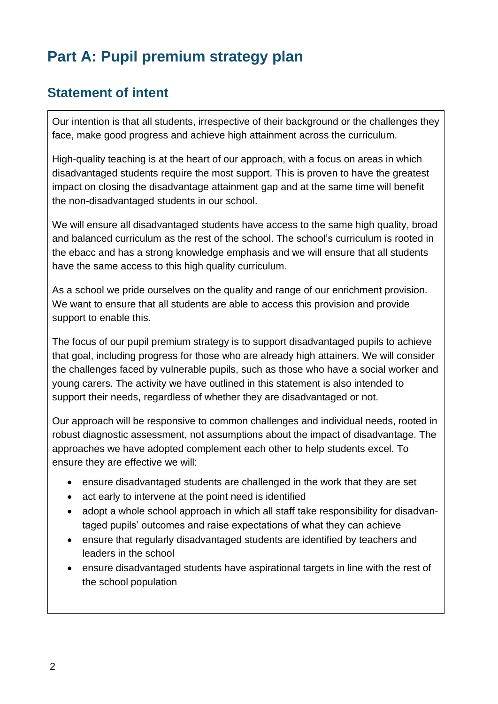# **Part A: Pupil premium strategy plan**

#### **Statement of intent**

Our intention is that all students, irrespective of their background or the challenges they face, make good progress and achieve high attainment across the curriculum.

High-quality teaching is at the heart of our approach, with a focus on areas in which disadvantaged students require the most support. This is proven to have the greatest impact on closing the disadvantage attainment gap and at the same time will benefit the non-disadvantaged students in our school.

We will ensure all disadvantaged students have access to the same high quality, broad and balanced curriculum as the rest of the school. The school's curriculum is rooted in the ebacc and has a strong knowledge emphasis and we will ensure that all students have the same access to this high quality curriculum.

As a school we pride ourselves on the quality and range of our enrichment provision. We want to ensure that all students are able to access this provision and provide support to enable this.

The focus of our pupil premium strategy is to support disadvantaged pupils to achieve that goal, including progress for those who are already high attainers. We will consider the challenges faced by vulnerable pupils, such as those who have a social worker and young carers. The activity we have outlined in this statement is also intended to support their needs, regardless of whether they are disadvantaged or not.

Our approach will be responsive to common challenges and individual needs, rooted in robust diagnostic assessment, not assumptions about the impact of disadvantage. The approaches we have adopted complement each other to help students excel. To ensure they are effective we will:

- ensure disadvantaged students are challenged in the work that they are set
- act early to intervene at the point need is identified
- adopt a whole school approach in which all staff take responsibility for disadvantaged pupils' outcomes and raise expectations of what they can achieve
- ensure that regularly disadvantaged students are identified by teachers and leaders in the school
- ensure disadvantaged students have aspirational targets in line with the rest of the school population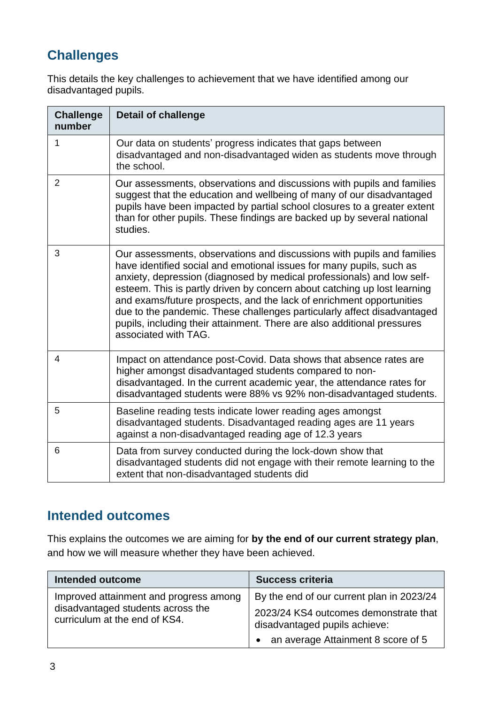## **Challenges**

This details the key challenges to achievement that we have identified among our disadvantaged pupils.

| <b>Challenge</b><br>number | <b>Detail of challenge</b>                                                                                                                                                                                                                                                                                                                                                                                                                                                                                                                                 |
|----------------------------|------------------------------------------------------------------------------------------------------------------------------------------------------------------------------------------------------------------------------------------------------------------------------------------------------------------------------------------------------------------------------------------------------------------------------------------------------------------------------------------------------------------------------------------------------------|
| 1                          | Our data on students' progress indicates that gaps between<br>disadvantaged and non-disadvantaged widen as students move through<br>the school.                                                                                                                                                                                                                                                                                                                                                                                                            |
| $\overline{2}$             | Our assessments, observations and discussions with pupils and families<br>suggest that the education and wellbeing of many of our disadvantaged<br>pupils have been impacted by partial school closures to a greater extent<br>than for other pupils. These findings are backed up by several national<br>studies.                                                                                                                                                                                                                                         |
| 3                          | Our assessments, observations and discussions with pupils and families<br>have identified social and emotional issues for many pupils, such as<br>anxiety, depression (diagnosed by medical professionals) and low self-<br>esteem. This is partly driven by concern about catching up lost learning<br>and exams/future prospects, and the lack of enrichment opportunities<br>due to the pandemic. These challenges particularly affect disadvantaged<br>pupils, including their attainment. There are also additional pressures<br>associated with TAG. |
| 4                          | Impact on attendance post-Covid. Data shows that absence rates are<br>higher amongst disadvantaged students compared to non-<br>disadvantaged. In the current academic year, the attendance rates for<br>disadvantaged students were 88% vs 92% non-disadvantaged students.                                                                                                                                                                                                                                                                                |
| 5                          | Baseline reading tests indicate lower reading ages amongst<br>disadvantaged students. Disadvantaged reading ages are 11 years<br>against a non-disadvantaged reading age of 12.3 years                                                                                                                                                                                                                                                                                                                                                                     |
| 6                          | Data from survey conducted during the lock-down show that<br>disadvantaged students did not engage with their remote learning to the<br>extent that non-disadvantaged students did                                                                                                                                                                                                                                                                                                                                                                         |

#### **Intended outcomes**

This explains the outcomes we are aiming for **by the end of our current strategy plan**, and how we will measure whether they have been achieved.

| Intended outcome                                                   | <b>Success criteria</b>                                                |
|--------------------------------------------------------------------|------------------------------------------------------------------------|
| Improved attainment and progress among                             | By the end of our current plan in 2023/24                              |
| disadvantaged students across the<br>curriculum at the end of KS4. | 2023/24 KS4 outcomes demonstrate that<br>disadvantaged pupils achieve: |
|                                                                    | • an average Attainment 8 score of 5                                   |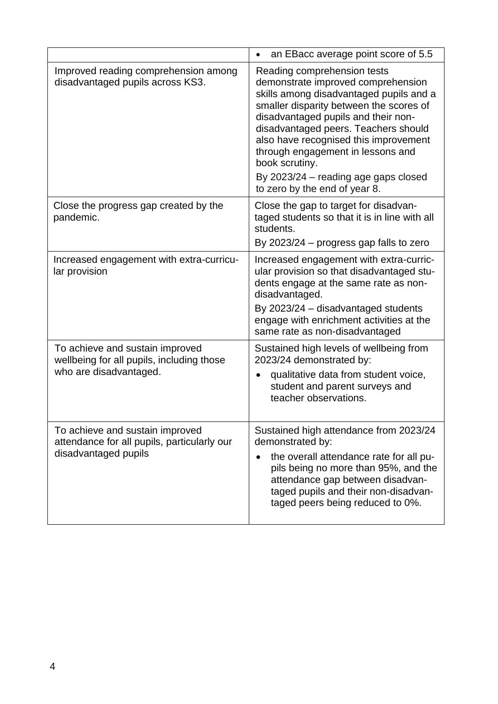|                                                                                                        | an EBacc average point score of 5.5<br>$\bullet$                                                                                                                                                                                                                                                                                                                                                                |
|--------------------------------------------------------------------------------------------------------|-----------------------------------------------------------------------------------------------------------------------------------------------------------------------------------------------------------------------------------------------------------------------------------------------------------------------------------------------------------------------------------------------------------------|
| Improved reading comprehension among<br>disadvantaged pupils across KS3.                               | Reading comprehension tests<br>demonstrate improved comprehension<br>skills among disadvantaged pupils and a<br>smaller disparity between the scores of<br>disadvantaged pupils and their non-<br>disadvantaged peers. Teachers should<br>also have recognised this improvement<br>through engagement in lessons and<br>book scrutiny.<br>By 2023/24 – reading age gaps closed<br>to zero by the end of year 8. |
| Close the progress gap created by the<br>pandemic.                                                     | Close the gap to target for disadvan-<br>taged students so that it is in line with all<br>students.<br>By 2023/24 - progress gap falls to zero                                                                                                                                                                                                                                                                  |
| Increased engagement with extra-curricu-<br>lar provision                                              | Increased engagement with extra-curric-<br>ular provision so that disadvantaged stu-<br>dents engage at the same rate as non-<br>disadvantaged.<br>By 2023/24 - disadvantaged students<br>engage with enrichment activities at the<br>same rate as non-disadvantaged                                                                                                                                            |
| To achieve and sustain improved<br>wellbeing for all pupils, including those<br>who are disadvantaged. | Sustained high levels of wellbeing from<br>2023/24 demonstrated by:<br>qualitative data from student voice,<br>student and parent surveys and<br>teacher observations.                                                                                                                                                                                                                                          |
| To achieve and sustain improved<br>attendance for all pupils, particularly our<br>disadvantaged pupils | Sustained high attendance from 2023/24<br>demonstrated by:<br>the overall attendance rate for all pu-<br>pils being no more than 95%, and the<br>attendance gap between disadvan-<br>taged pupils and their non-disadvan-<br>taged peers being reduced to 0%.                                                                                                                                                   |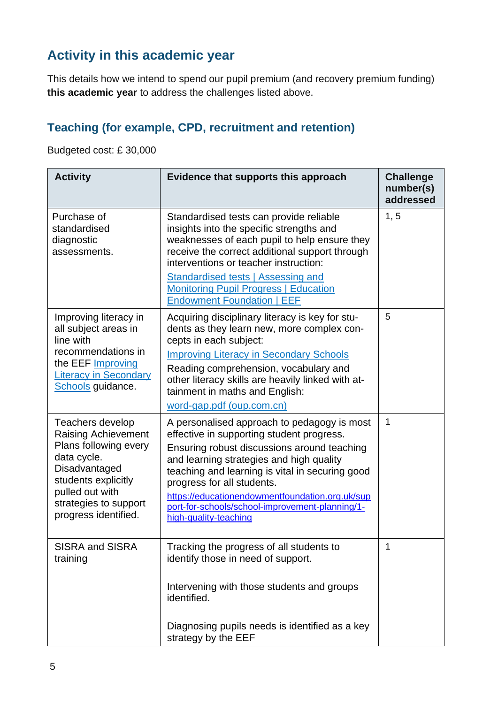## **Activity in this academic year**

This details how we intend to spend our pupil premium (and recovery premium funding) **this academic year** to address the challenges listed above.

#### **Teaching (for example, CPD, recruitment and retention)**

Budgeted cost: £ 30,000

| <b>Activity</b>                                                                                                                                                                                    | Evidence that supports this approach                                                                                                                                                                                                                                                                                                                                                                | <b>Challenge</b><br>number(s)<br>addressed |
|----------------------------------------------------------------------------------------------------------------------------------------------------------------------------------------------------|-----------------------------------------------------------------------------------------------------------------------------------------------------------------------------------------------------------------------------------------------------------------------------------------------------------------------------------------------------------------------------------------------------|--------------------------------------------|
| Purchase of<br>standardised<br>diagnostic<br>assessments.                                                                                                                                          | Standardised tests can provide reliable<br>insights into the specific strengths and<br>weaknesses of each pupil to help ensure they<br>receive the correct additional support through<br>interventions or teacher instruction:<br>Standardised tests   Assessing and<br><b>Monitoring Pupil Progress   Education</b><br><b>Endowment Foundation   EEF</b>                                           | 1, 5                                       |
| Improving literacy in<br>all subject areas in<br>line with<br>recommendations in<br>the EEF Improving<br><b>Literacy in Secondary</b><br>Schools guidance.                                         | Acquiring disciplinary literacy is key for stu-<br>dents as they learn new, more complex con-<br>cepts in each subject:<br><b>Improving Literacy in Secondary Schools</b><br>Reading comprehension, vocabulary and<br>other literacy skills are heavily linked with at-<br>tainment in maths and English:<br>word-gap.pdf (oup.com.cn)                                                              | 5                                          |
| Teachers develop<br><b>Raising Achievement</b><br>Plans following every<br>data cycle.<br>Disadvantaged<br>students explicitly<br>pulled out with<br>strategies to support<br>progress identified. | A personalised approach to pedagogy is most<br>effective in supporting student progress.<br>Ensuring robust discussions around teaching<br>and learning strategies and high quality<br>teaching and learning is vital in securing good<br>progress for all students.<br>https://educationendowmentfoundation.org.uk/sup<br>port-for-schools/school-improvement-planning/1-<br>high-quality-teaching | $\mathbf{1}$                               |
| <b>SISRA and SISRA</b><br>training                                                                                                                                                                 | Tracking the progress of all students to<br>identify those in need of support.<br>Intervening with those students and groups<br>identified.<br>Diagnosing pupils needs is identified as a key<br>strategy by the EEF                                                                                                                                                                                | 1                                          |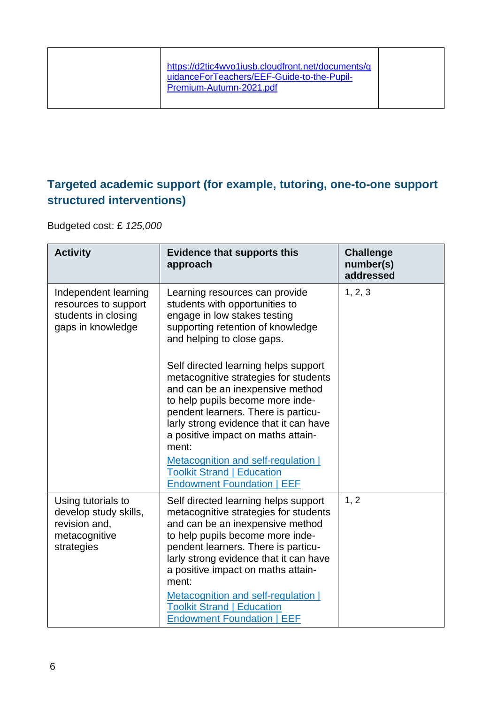|  | https://d2tic4wvo1iusb.cloudfront.net/documents/g<br>uidanceForTeachers/EEF-Guide-to-the-Pupil-<br>Premium-Autumn-2021.pdf |  |
|--|----------------------------------------------------------------------------------------------------------------------------|--|
|--|----------------------------------------------------------------------------------------------------------------------------|--|

#### **Targeted academic support (for example, tutoring, one-to-one support structured interventions)**

Budgeted cost: £ *125,000*

| <b>Activity</b>                                                                             | <b>Evidence that supports this</b><br>approach                                                                                                                                                                                                                                        | <b>Challenge</b><br>number(s)<br>addressed |
|---------------------------------------------------------------------------------------------|---------------------------------------------------------------------------------------------------------------------------------------------------------------------------------------------------------------------------------------------------------------------------------------|--------------------------------------------|
| Independent learning<br>resources to support<br>students in closing<br>gaps in knowledge    | Learning resources can provide<br>students with opportunities to<br>engage in low stakes testing<br>supporting retention of knowledge<br>and helping to close gaps.                                                                                                                   | 1, 2, 3                                    |
|                                                                                             | Self directed learning helps support<br>metacognitive strategies for students<br>and can be an inexpensive method<br>to help pupils become more inde-<br>pendent learners. There is particu-<br>larly strong evidence that it can have<br>a positive impact on maths attain-<br>ment: |                                            |
|                                                                                             | Metacognition and self-regulation  <br><b>Toolkit Strand   Education</b><br><b>Endowment Foundation   EEF</b>                                                                                                                                                                         |                                            |
| Using tutorials to<br>develop study skills,<br>revision and,<br>metacognitive<br>strategies | Self directed learning helps support<br>metacognitive strategies for students<br>and can be an inexpensive method<br>to help pupils become more inde-<br>pendent learners. There is particu-<br>larly strong evidence that it can have<br>a positive impact on maths attain-<br>ment: | 1, 2                                       |
|                                                                                             | Metacognition and self-regulation  <br><b>Toolkit Strand   Education</b><br><b>Endowment Foundation   EEF</b>                                                                                                                                                                         |                                            |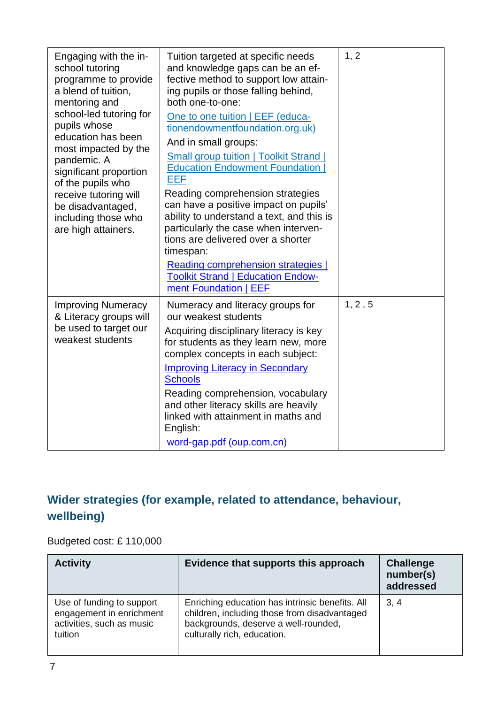| Engaging with the in-<br>school tutoring<br>programme to provide<br>a blend of tuition,<br>mentoring and<br>school-led tutoring for<br>pupils whose<br>education has been<br>most impacted by the<br>pandemic. A<br>significant proportion<br>of the pupils who<br>receive tutoring will<br>be disadvantaged,<br>including those who<br>are high attainers. | Tuition targeted at specific needs<br>and knowledge gaps can be an ef-<br>fective method to support low attain-<br>ing pupils or those falling behind,<br>both one-to-one:<br>One to one tuition   EEF (educa-<br>tionendowmentfoundation.org.uk)<br>And in small groups:<br><b>Small group tuition   Toolkit Strand  </b><br><b>Education Endowment Foundation</b><br><b>EEF</b><br>Reading comprehension strategies<br>can have a positive impact on pupils'<br>ability to understand a text, and this is<br>particularly the case when interven-<br>tions are delivered over a shorter<br>timespan:<br>Reading comprehension strategies  <br><b>Toolkit Strand   Education Endow-</b><br>ment Foundation   EEF | 1, 2    |
|-------------------------------------------------------------------------------------------------------------------------------------------------------------------------------------------------------------------------------------------------------------------------------------------------------------------------------------------------------------|-------------------------------------------------------------------------------------------------------------------------------------------------------------------------------------------------------------------------------------------------------------------------------------------------------------------------------------------------------------------------------------------------------------------------------------------------------------------------------------------------------------------------------------------------------------------------------------------------------------------------------------------------------------------------------------------------------------------|---------|
| <b>Improving Numeracy</b><br>& Literacy groups will<br>be used to target our<br>weakest students                                                                                                                                                                                                                                                            | Numeracy and literacy groups for<br>our weakest students<br>Acquiring disciplinary literacy is key<br>for students as they learn new, more<br>complex concepts in each subject:<br><b>Improving Literacy in Secondary</b><br><b>Schools</b><br>Reading comprehension, vocabulary<br>and other literacy skills are heavily<br>linked with attainment in maths and<br>English:<br>word-gap.pdf (oup.com.cn)                                                                                                                                                                                                                                                                                                         | 1, 2, 5 |

### **Wider strategies (for example, related to attendance, behaviour, wellbeing)**

Budgeted cost: £ 110,000

| <b>Activity</b>                                                                               | Evidence that supports this approach                                                                                                                                   | <b>Challenge</b><br>number(s)<br>addressed |
|-----------------------------------------------------------------------------------------------|------------------------------------------------------------------------------------------------------------------------------------------------------------------------|--------------------------------------------|
| Use of funding to support<br>engagement in enrichment<br>activities, such as music<br>tuition | Enriching education has intrinsic benefits. All<br>children, including those from disadvantaged<br>backgrounds, deserve a well-rounded,<br>culturally rich, education. | 3, 4                                       |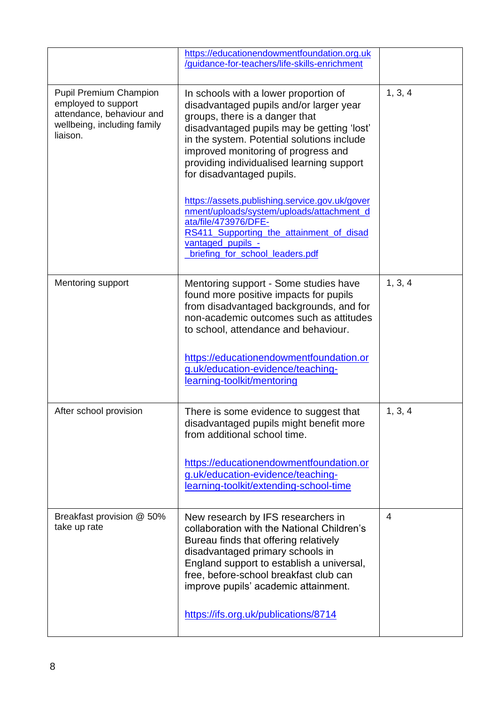|                                                                                                                              | https://educationendowmentfoundation.org.uk<br>/guidance-for-teachers/life-skills-enrichment                                                                                                                                                                                                                                                                                                                                                                                                                                                               |         |
|------------------------------------------------------------------------------------------------------------------------------|------------------------------------------------------------------------------------------------------------------------------------------------------------------------------------------------------------------------------------------------------------------------------------------------------------------------------------------------------------------------------------------------------------------------------------------------------------------------------------------------------------------------------------------------------------|---------|
| <b>Pupil Premium Champion</b><br>employed to support<br>attendance, behaviour and<br>wellbeing, including family<br>liaison. | In schools with a lower proportion of<br>disadvantaged pupils and/or larger year<br>groups, there is a danger that<br>disadvantaged pupils may be getting 'lost'<br>in the system. Potential solutions include<br>improved monitoring of progress and<br>providing individualised learning support<br>for disadvantaged pupils.<br>https://assets.publishing.service.gov.uk/gover<br>nment/uploads/system/uploads/attachment_d<br>ata/file/473976/DFE-<br>RS411_Supporting_the_attainment_of_disad<br>vantaged_pupils_-<br>briefing for school leaders.pdf | 1, 3, 4 |
| <b>Mentoring support</b>                                                                                                     | Mentoring support - Some studies have<br>found more positive impacts for pupils<br>from disadvantaged backgrounds, and for<br>non-academic outcomes such as attitudes<br>to school, attendance and behaviour.<br>https://educationendowmentfoundation.or<br>g.uk/education-evidence/teaching-<br>learning-toolkit/mentoring                                                                                                                                                                                                                                | 1, 3, 4 |
| After school provision                                                                                                       | There is some evidence to suggest that<br>disadvantaged pupils might benefit more<br>from additional school time.<br>https://educationendowmentfoundation.or<br>g.uk/education-evidence/teaching-<br>learning-toolkit/extending-school-time                                                                                                                                                                                                                                                                                                                | 1, 3, 4 |
| Breakfast provision @ 50%<br>take up rate                                                                                    | New research by IFS researchers in<br>collaboration with the National Children's<br>Bureau finds that offering relatively<br>disadvantaged primary schools in<br>England support to establish a universal,<br>free, before-school breakfast club can<br>improve pupils' academic attainment.<br>https://ifs.org.uk/publications/8714                                                                                                                                                                                                                       | 4       |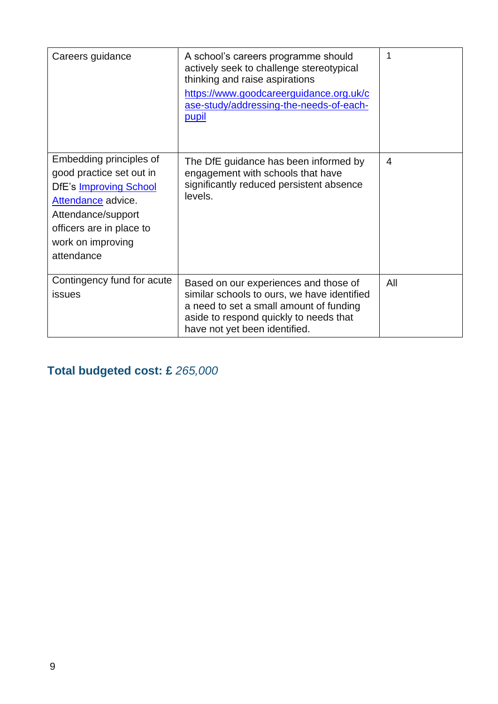| Careers guidance                                                                                                                                                                                | A school's careers programme should<br>actively seek to challenge stereotypical<br>thinking and raise aspirations<br>https://www.goodcareerguidance.org.uk/c<br>ase-study/addressing-the-needs-of-each-<br><b>pupil</b> | 1   |
|-------------------------------------------------------------------------------------------------------------------------------------------------------------------------------------------------|-------------------------------------------------------------------------------------------------------------------------------------------------------------------------------------------------------------------------|-----|
| Embedding principles of<br>good practice set out in<br><b>DfE's Improving School</b><br>Attendance advice.<br>Attendance/support<br>officers are in place to<br>work on improving<br>attendance | The DfE guidance has been informed by<br>engagement with schools that have<br>significantly reduced persistent absence<br>levels.                                                                                       | 4   |
| Contingency fund for acute<br><b>issues</b>                                                                                                                                                     | Based on our experiences and those of<br>similar schools to ours, we have identified<br>a need to set a small amount of funding<br>aside to respond quickly to needs that<br>have not yet been identified.              | All |

**Total budgeted cost: £** *265,000*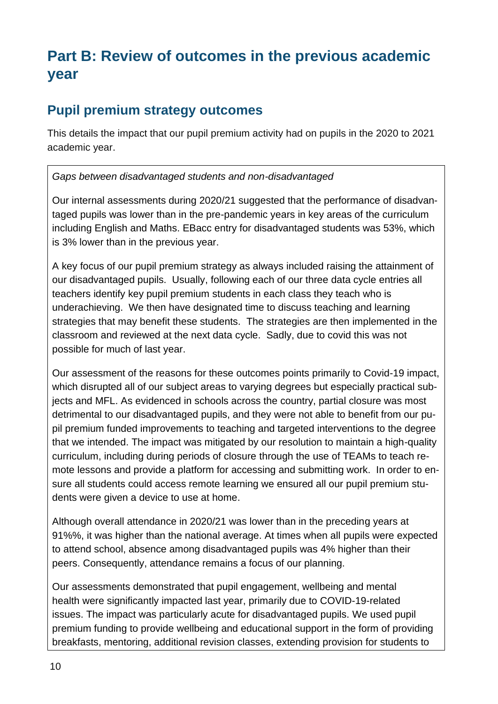# **Part B: Review of outcomes in the previous academic year**

#### **Pupil premium strategy outcomes**

This details the impact that our pupil premium activity had on pupils in the 2020 to 2021 academic year.

#### *Gaps between disadvantaged students and non-disadvantaged*

Our internal assessments during 2020/21 suggested that the performance of disadvantaged pupils was lower than in the pre-pandemic years in key areas of the curriculum including English and Maths. EBacc entry for disadvantaged students was 53%, which is 3% lower than in the previous year.

A key focus of our pupil premium strategy as always included raising the attainment of our disadvantaged pupils. Usually, following each of our three data cycle entries all teachers identify key pupil premium students in each class they teach who is underachieving. We then have designated time to discuss teaching and learning strategies that may benefit these students. The strategies are then implemented in the classroom and reviewed at the next data cycle. Sadly, due to covid this was not possible for much of last year.

Our assessment of the reasons for these outcomes points primarily to Covid-19 impact, which disrupted all of our subject areas to varying degrees but especially practical subjects and MFL. As evidenced in schools across the country, partial closure was most detrimental to our disadvantaged pupils, and they were not able to benefit from our pupil premium funded improvements to teaching and targeted interventions to the degree that we intended. The impact was mitigated by our resolution to maintain a high-quality curriculum, including during periods of closure through the use of TEAMs to teach remote lessons and provide a platform for accessing and submitting work. In order to ensure all students could access remote learning we ensured all our pupil premium students were given a device to use at home.

Although overall attendance in 2020/21 was lower than in the preceding years at 91%%, it was higher than the national average. At times when all pupils were expected to attend school, absence among disadvantaged pupils was 4% higher than their peers. Consequently, attendance remains a focus of our planning.

Our assessments demonstrated that pupil engagement, wellbeing and mental health were significantly impacted last year, primarily due to COVID-19-related issues. The impact was particularly acute for disadvantaged pupils. We used pupil premium funding to provide wellbeing and educational support in the form of providing breakfasts, mentoring, additional revision classes, extending provision for students to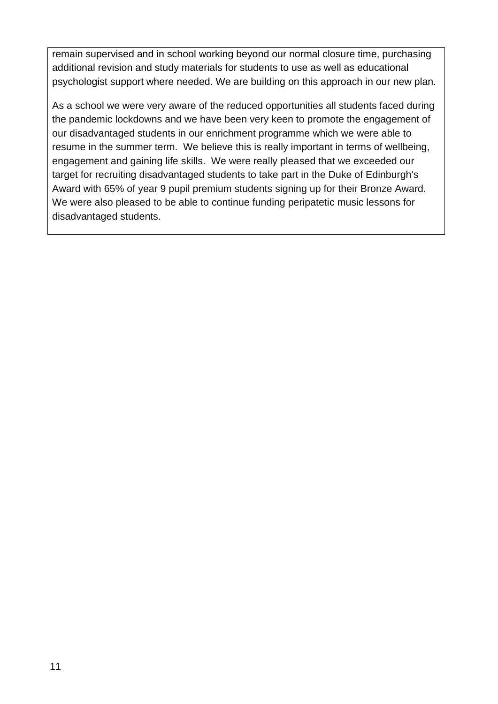remain supervised and in school working beyond our normal closure time, purchasing additional revision and study materials for students to use as well as educational psychologist support where needed. We are building on this approach in our new plan.

As a school we were very aware of the reduced opportunities all students faced during the pandemic lockdowns and we have been very keen to promote the engagement of our disadvantaged students in our enrichment programme which we were able to resume in the summer term. We believe this is really important in terms of wellbeing, engagement and gaining life skills. We were really pleased that we exceeded our target for recruiting disadvantaged students to take part in the Duke of Edinburgh's Award with 65% of year 9 pupil premium students signing up for their Bronze Award. We were also pleased to be able to continue funding peripatetic music lessons for disadvantaged students.